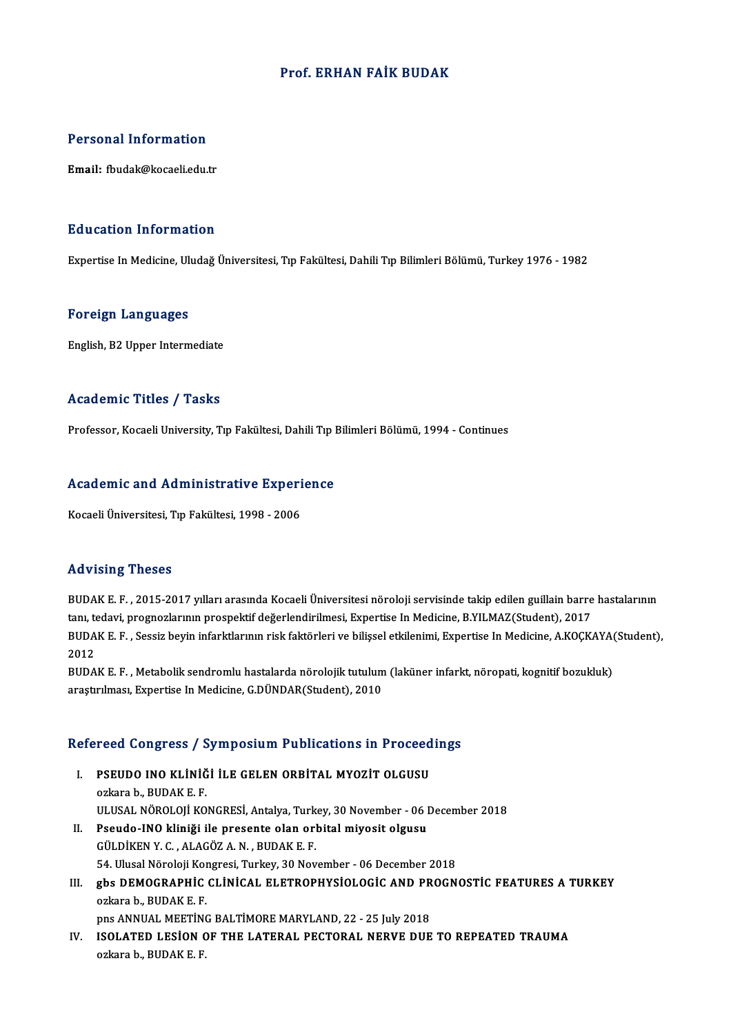# Prof. ERHAN FAİK BUDAK

## Personal Information

Email: fbudak@kocaeli.edu.tr

## Education Information

Expertise In Medicine, Uludağ Üniversitesi, Tıp Fakültesi, Dahili Tıp Bilimleri Bölümü, Turkey 1976 - 1982

### Foreign Languages

English,B2Upper Intermediate

### Academic Titles / Tasks

Professor, Kocaeli University, Tıp Fakültesi, Dahili Tıp Bilimleri Bölümü, 1994 - Continues

# Professor, Kocaell University, Tip Pakuitesi, Daniil Tip I<br>Academic and Administrative Experience A<mark>cademic and Administrative Experi</mark><br>Kocaeli Üniversitesi, Tıp Fakültesi, 1998 - 2006

Kocaeli Üniversitesi, Tıp Fakültesi, 1998 - 2006<br>Advising Theses

BUDAK E.F., 2015-2017 yılları arasında Kocaeli Üniversitesi nöroloji servisinde takip edilen guillain barre hastalarının tan vising "Treses"<br>BUDAK E. F. , 2015-2017 yılları arasında Kocaeli Üniversitesi nöroloji servisinde takip edilen guillain barre<br>tanı, tedavi, prognozlarının prospektif değerlendirilmesi, Expertise In Medicine, B.YILMAZ(S BUDAK E. F. , 2015-2017 yılları arasında Kocaeli Üniversitesi nöroloji servisinde takip edilen guillain barre hastalarının<br>tanı, tedavi, prognozlarının prospektif değerlendirilmesi, Expertise In Medicine, B.YILMAZ(Student) tani, te<br>BUDA<br>2012 BUDAK E. F. , Sessiz beyin infarktlarının risk faktörleri ve bilişsel etkilenimi, Expertise In Medicine, A.KOÇKAYA(<br>2012<br>BUDAK E. F. , Metabolik sendromlu hastalarda nörolojik tutulum (laküner infarkt, nöropati, kognitif b

2012<br>BUDAK E. F. , Metabolik sendromlu hastalarda nörolojik tutulum (laküner infarkt, nöropati, kognitif bozukluk)<br>araştırılması, Expertise In Medicine, G.DÜNDAR(Student), 2010

# araşuruması, experuse in medicine, G.DUNDAR(Student), 2010<br>Refereed Congress / Symposium Publications in Proceedings

- efereed Congress / Symposium Publications in Proceed<br>I. PSEUDO INO KLİNİĞİ İLE GELEN ORBİTAL MYOZİT OLGUSU I. PSEUDO INO KLINIĞI ILE GELEN ORBITAL MYOZIT OLGUSU ozkara b., BUDAK E. F. ULUSAL NÖROLOJİ KONGRESİ, Antalya, Turkey, 30 November - 06 December 2018 ozkara b., BUDAK E. F.<br>ULUSAL NÖROLOJİ KONGRESİ, Antalya, Turkey, 30 November - 06 I<br>II. Pseudo-INO kliniği ile presente olan orbital miyosit olgusu<br>CÜLDİKEN V C. ALAÇÖZA N. BUDAK E. E
- ULUSAL NÖROLOJİ KONGRESİ, Antalya, Turk<br>Pseudo-INO kliniği ile presente olan orl<br>GÜLDİKEN Y. C. , ALAGÖZ A. N. , BUDAK E. F.<br>54. Ulusal Nöroloji Kongresi, Turkey, 30 Nov Pseudo-INO kliniği ile presente olan orbital miyosit olgusu<br>GÜLDİKEN Y. C. , ALAGÖZ A. N. , BUDAK E. F.<br>54. Ulusal Nöroloji Kongresi, Turkey, 30 November - 06 December 2018<br>ghe DEMOCRARHİC CLİNİÇAL ELETROPUYSIOLOGİC AND PR GÜLDİKEN Y. C. , ALAGÖZ A. N. , BUDAK E. F.<br>54. Ulusal Nöroloji Kongresi, Turkey, 30 November - 06 December 2018<br>III. gbs DEMOGRAPHİC CLİNİCAL ELETROPHYSİOLOGİC AND PROGNOSTİC FEATURES A TURKEY<br>ozkara b., BUDAK E. F.
- 54. Ulusal Nöroloji Kor<br><mark>gbs DEMOGRAPHİC</mark><br>ozkara b., BUDAK E. F.<br>nns ANNUAL MEETİNG gbs DEMOGRAPHIC CLINICAL ELETROPHYSIOLOGIC AND PR<br>ozkara b., BUDAK E. F.<br>pns ANNUAL MEETING BALTIMORE MARYLAND, 22 - 25 July 2018<br>ISOLATED LESION OF THE LATERAL BECTORAL NEBVE DUE
- IV. ISOLATED LESION OF THE LATERAL PECTORAL NERVE DUE TO REPEATED TRAUMA ozkara b., BUDAK E. F. pns ANNUAL MEETIN<br>ISOL<mark>ATED LESION C</mark><br>ozkara b., BUDAK E. F.